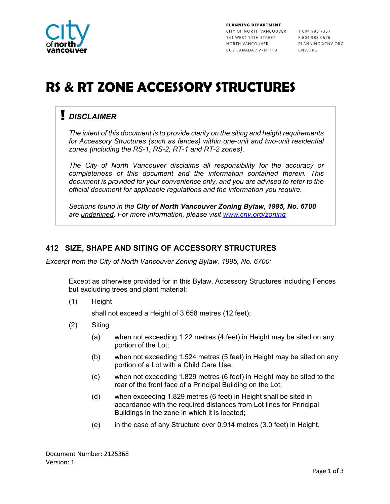

PLANNING DEPARTMENT CITY OF NORTH VANCOUVER T 604 983 7357 141 WEST 14TH STREET NORTH VANCOUVER BC / CANADA / V7M 1H9

 $F$  604 985 0576 PLANNING@CNV.ORG CNV.ORG

# **RS & RT ZONE ACCESSORY STRUCTURES**

## *DISCLAIMER*

*The intent of this document is to provide clarity on the siting and height requirements for Accessory Structures (such as fences) within one-unit and two-unit residential zones (including the RS-1, RS-2, RT-1 and RT-2 zones).* 

*The City of North Vancouver disclaims all responsibility for the accuracy or completeness of this document and the information contained therein. This document is provided for your convenience only, and you are advised to refer to the official document for applicable regulations and the information you require.*

*Sections found in the City of North Vancouver Zoning Bylaw, 1995, No. 6700 are underlined. For more information, please visit [www.cnv.org/zoning](http://www.cnv.org/zoning)*

#### **412 SIZE, SHAPE AND SITING OF ACCESSORY STRUCTURES**

*Excerpt from the City of North Vancouver Zoning Bylaw, 1995, No. 6700:*

Except as otherwise provided for in this Bylaw, Accessory Structures including Fences but excluding trees and plant material:

(1) Height

shall not exceed a Height of 3.658 metres (12 feet);

- (2) Siting
	- (a) when not exceeding 1.22 metres (4 feet) in Height may be sited on any portion of the Lot;
	- (b) when not exceeding 1.524 metres (5 feet) in Height may be sited on any portion of a Lot with a Child Care Use;
	- (c) when not exceeding 1.829 metres (6 feet) in Height may be sited to the rear of the front face of a Principal Building on the Lot;
	- (d) when exceeding 1.829 metres (6 feet) in Height shall be sited in accordance with the required distances from Lot lines for Principal Buildings in the zone in which it is located;
	- (e) in the case of any Structure over 0.914 metres (3.0 feet) in Height,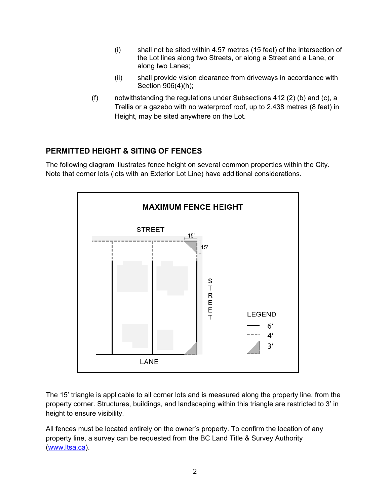- (i) shall not be sited within 4.57 metres (15 feet) of the intersection of the Lot lines along two Streets, or along a Street and a Lane, or along two Lanes;
- (ii) shall provide vision clearance from driveways in accordance with Section 906(4)(h);
- (f) notwithstanding the regulations under Subsections 412 (2) (b) and (c), a Trellis or a gazebo with no waterproof roof, up to 2.438 metres (8 feet) in Height, may be sited anywhere on the Lot.

### **PERMITTED HEIGHT & SITING OF FENCES**

The following diagram illustrates fence height on several common properties within the City. Note that corner lots (lots with an Exterior Lot Line) have additional considerations.



The 15' triangle is applicable to all corner lots and is measured along the property line, from the property corner. Structures, buildings, and landscaping within this triangle are restricted to 3' in height to ensure visibility.

All fences must be located entirely on the owner's property. To confirm the location of any property line, a survey can be requested from the BC Land Title & Survey Authority [\(www.ltsa.ca\)](http://www.ltsa.ca/).